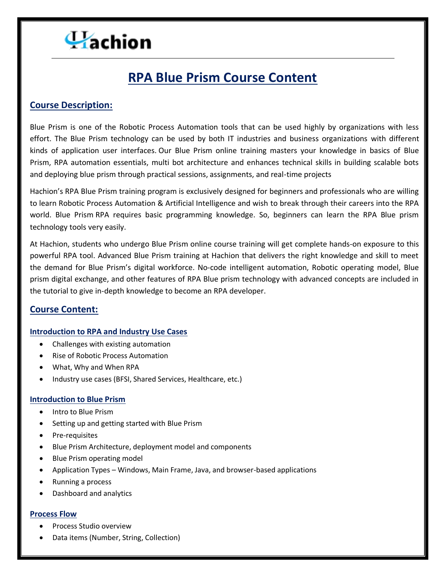# **RPA Blue Prism Course Content**

# **Course Description:**

Blue Prism is one of the Robotic Process Automation tools that can be used highly by organizations with less effort. The Blue Prism technology can be used by both IT industries and business organizations with different kinds of application user interfaces. Our Blue Prism online training masters your knowledge in basics of Blue Prism, RPA automation essentials, multi bot architecture and enhances technical skills in building scalable bots and deploying blue prism through practical sessions, assignments, and real-time projects

Hachion's RPA Blue Prism training program is exclusively designed for beginners and professionals who are willing to learn Robotic Process Automation & Artificial Intelligence and wish to break through their careers into the RPA world. Blue Prism RPA requires basic programming knowledge. So, beginners can learn the RPA Blue prism technology tools very easily.

At Hachion, students who undergo Blue Prism online course training will get complete hands-on exposure to this powerful RPA tool. Advanced Blue Prism training at Hachion that delivers the right knowledge and skill to meet the demand for Blue Prism's digital workforce. No-code intelligent automation, Robotic operating model, Blue prism digital exchange, and other features of RPA Blue prism technology with advanced concepts are included in the tutorial to give in-depth knowledge to become an RPA developer.

# **Course Content:**

#### **Introduction to RPA and Industry Use Cases**

- Challenges with existing automation
- Rise of Robotic Process Automation
- What, Why and When RPA
- Industry use cases (BFSI, Shared Services, Healthcare, etc.)

#### **Introduction to Blue Prism**

- Intro to Blue Prism
- Setting up and getting started with Blue Prism
- Pre-requisites
- Blue Prism Architecture, deployment model and components
- Blue Prism operating model
- Application Types Windows, Main Frame, Java, and browser-based applications
- Running a process
- Dashboard and analytics

#### **Process Flow**

- Process Studio overview
- Data items (Number, String, Collection)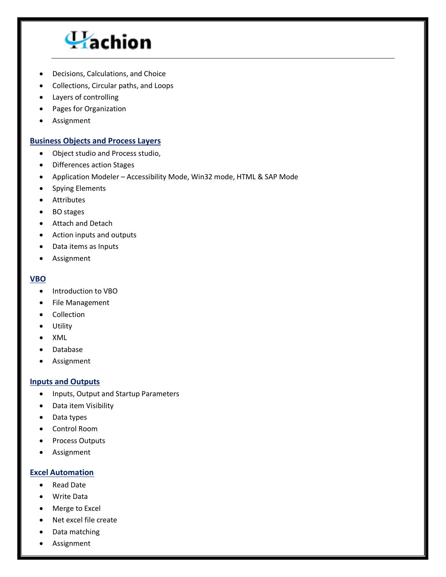

- Decisions, Calculations, and Choice
- Collections, Circular paths, and Loops
- Layers of controlling
- Pages for Organization
- Assignment

#### **Business Objects and Process Layers**

- Object studio and Process studio,
- Differences action Stages
- Application Modeler Accessibility Mode, Win32 mode, HTML & SAP Mode
- Spying Elements
- Attributes
- BO stages
- Attach and Detach
- Action inputs and outputs
- Data items as Inputs
- Assignment

#### **VBO**

- Introduction to VBO
- File Management
- Collection
- Utility
- XML
- Database
- Assignment

#### **Inputs and Outputs**

- Inputs, Output and Startup Parameters
- Data item Visibility
- Data types
- Control Room
- Process Outputs
- Assignment

#### **Excel Automation**

- Read Date
- Write Data
- Merge to Excel
- Net excel file create
- Data matching
- Assignment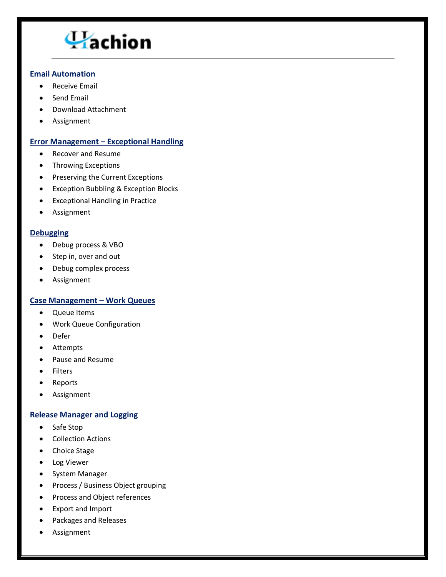### **Email Automation**

- Receive Email
- Send Email
- Download Attachment
- Assignment

# **Error Management – Exceptional Handling**

- Recover and Resume
- Throwing Exceptions
- Preserving the Current Exceptions
- **•** Exception Bubbling & Exception Blocks
- Exceptional Handling in Practice
- Assignment

# **Debugging**

- Debug process & VBO
- Step in, over and out
- Debug complex process
- Assignment

#### **Case Management – Work Queues**

- Queue Items
- Work Queue Configuration
- Defer
- Attempts
- Pause and Resume
- Filters
- Reports
- Assignment

#### **Release Manager and Logging**

- Safe Stop
- Collection Actions
- Choice Stage
- Log Viewer
- System Manager
- Process / Business Object grouping
- Process and Object references
- Export and Import
- Packages and Releases
- Assignment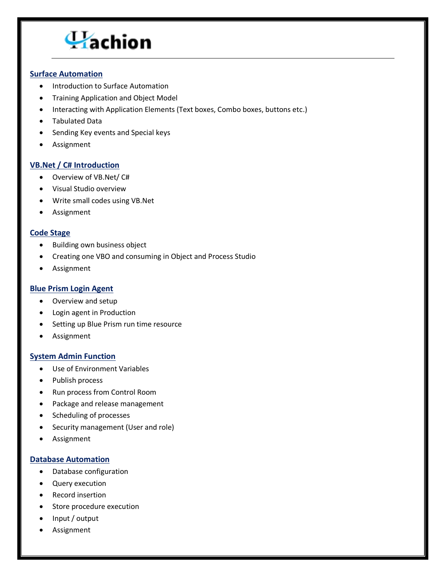#### **Surface Automation**

- Introduction to Surface Automation
- Training Application and Object Model
- Interacting with Application Elements (Text boxes, Combo boxes, buttons etc.)
- Tabulated Data
- Sending Key events and Special keys
- Assignment

#### **VB.Net / C# Introduction**

- Overview of VB.Net/ C#
- Visual Studio overview
- Write small codes using VB.Net
- Assignment

#### **Code Stage**

- Building own business object
- Creating one VBO and consuming in Object and Process Studio
- Assignment

#### **Blue Prism Login Agent**

- Overview and setup
- Login agent in Production
- Setting up Blue Prism run time resource
- Assignment

#### **System Admin Function**

- Use of Environment Variables
- Publish process
- Run process from Control Room
- Package and release management
- Scheduling of processes
- Security management (User and role)
- Assignment

#### **Database Automation**

- Database configuration
- Query execution
- Record insertion
- Store procedure execution
- Input / output
- Assignment